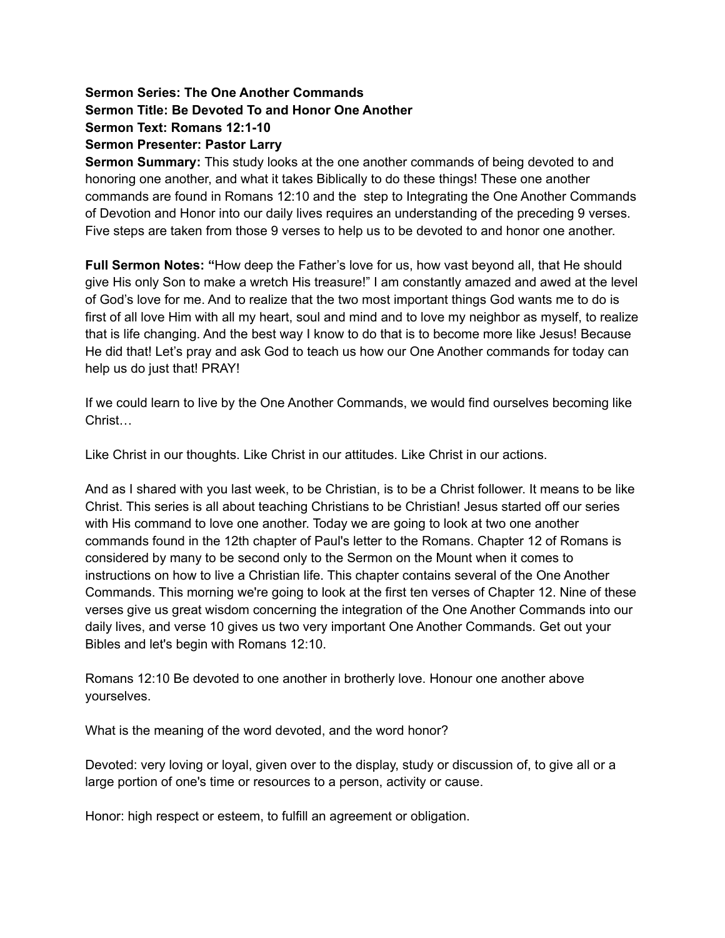## **Sermon Series: The One Another Commands Sermon Title: Be Devoted To and Honor One Another Sermon Text: Romans 12:1-10 Sermon Presenter: Pastor Larry**

**Sermon Summary:** This study looks at the one another commands of being devoted to and honoring one another, and what it takes Biblically to do these things! These one another commands are found in Romans 12:10 and the step to Integrating the One Another Commands of Devotion and Honor into our daily lives requires an understanding of the preceding 9 verses. Five steps are taken from those 9 verses to help us to be devoted to and honor one another.

**Full Sermon Notes: "**How deep the Father's love for us, how vast beyond all, that He should give His only Son to make a wretch His treasure!" I am constantly amazed and awed at the level of God's love for me. And to realize that the two most important things God wants me to do is first of all love Him with all my heart, soul and mind and to love my neighbor as myself, to realize that is life changing. And the best way I know to do that is to become more like Jesus! Because He did that! Let's pray and ask God to teach us how our One Another commands for today can help us do just that! PRAY!

If we could learn to live by the One Another Commands, we would find ourselves becoming like Christ…

Like Christ in our thoughts. Like Christ in our attitudes. Like Christ in our actions.

And as I shared with you last week, to be Christian, is to be a Christ follower. It means to be like Christ. This series is all about teaching Christians to be Christian! Jesus started off our series with His command to love one another. Today we are going to look at two one another commands found in the 12th chapter of Paul's letter to the Romans. Chapter 12 of Romans is considered by many to be second only to the Sermon on the Mount when it comes to instructions on how to live a Christian life. This chapter contains several of the One Another Commands. This morning we're going to look at the first ten verses of Chapter 12. Nine of these verses give us great wisdom concerning the integration of the One Another Commands into our daily lives, and verse 10 gives us two very important One Another Commands. Get out your Bibles and let's begin with Romans 12:10.

Romans 12:10 Be devoted to one another in brotherly love. Honour one another above yourselves.

What is the meaning of the word devoted, and the word honor?

Devoted: very loving or loyal, given over to the display, study or discussion of, to give all or a large portion of one's time or resources to a person, activity or cause.

Honor: high respect or esteem, to fulfill an agreement or obligation.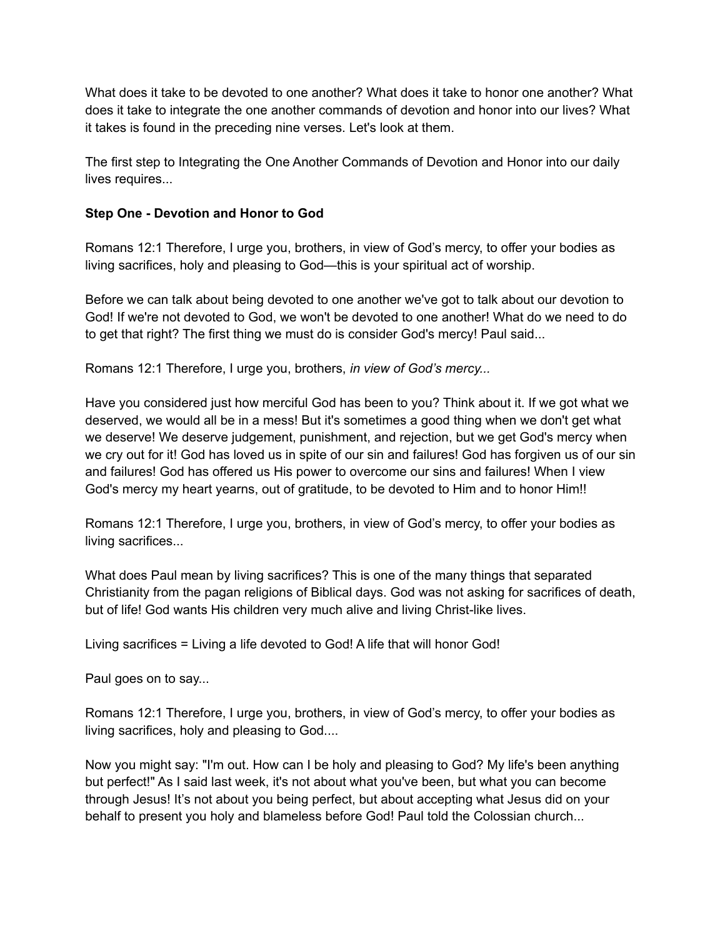What does it take to be devoted to one another? What does it take to honor one another? What does it take to integrate the one another commands of devotion and honor into our lives? What it takes is found in the preceding nine verses. Let's look at them.

The first step to Integrating the One Another Commands of Devotion and Honor into our daily lives requires...

## **Step One - Devotion and Honor to God**

Romans 12:1 Therefore, I urge you, brothers, in view of God's mercy, to offer your bodies as living sacrifices, holy and pleasing to God—this is your spiritual act of worship.

Before we can talk about being devoted to one another we've got to talk about our devotion to God! If we're not devoted to God, we won't be devoted to one another! What do we need to do to get that right? The first thing we must do is consider God's mercy! Paul said...

Romans 12:1 Therefore, I urge you, brothers, *in view of God's mercy...*

Have you considered just how merciful God has been to you? Think about it. If we got what we deserved, we would all be in a mess! But it's sometimes a good thing when we don't get what we deserve! We deserve judgement, punishment, and rejection, but we get God's mercy when we cry out for it! God has loved us in spite of our sin and failures! God has forgiven us of our sin and failures! God has offered us His power to overcome our sins and failures! When I view God's mercy my heart yearns, out of gratitude, to be devoted to Him and to honor Him!!

Romans 12:1 Therefore, I urge you, brothers, in view of God's mercy, to offer your bodies as living sacrifices...

What does Paul mean by living sacrifices? This is one of the many things that separated Christianity from the pagan religions of Biblical days. God was not asking for sacrifices of death, but of life! God wants His children very much alive and living Christ-like lives.

Living sacrifices = Living a life devoted to God! A life that will honor God!

Paul goes on to say...

Romans 12:1 Therefore, I urge you, brothers, in view of God's mercy, to offer your bodies as living sacrifices, holy and pleasing to God....

Now you might say: "I'm out. How can I be holy and pleasing to God? My life's been anything but perfect!" As I said last week, it's not about what you've been, but what you can become through Jesus! It's not about you being perfect, but about accepting what Jesus did on your behalf to present you holy and blameless before God! Paul told the Colossian church...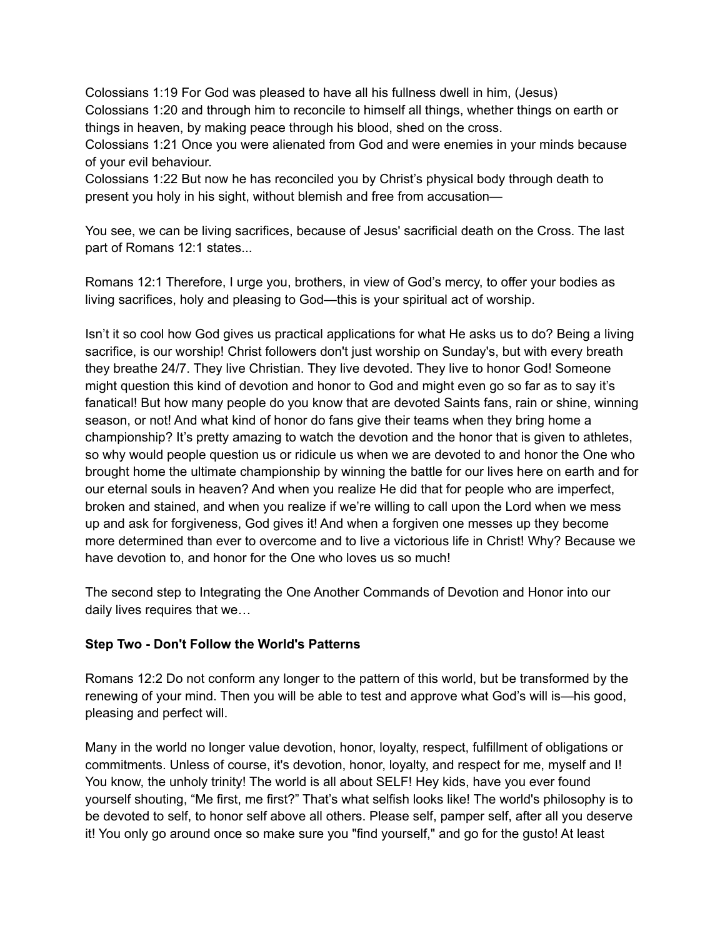Colossians 1:19 For God was pleased to have all his fullness dwell in him, (Jesus) Colossians 1:20 and through him to reconcile to himself all things, whether things on earth or things in heaven, by making peace through his blood, shed on the cross.

Colossians 1:21 Once you were alienated from God and were enemies in your minds because of your evil behaviour.

Colossians 1:22 But now he has reconciled you by Christ's physical body through death to present you holy in his sight, without blemish and free from accusation—

You see, we can be living sacrifices, because of Jesus' sacrificial death on the Cross. The last part of Romans 12:1 states...

Romans 12:1 Therefore, I urge you, brothers, in view of God's mercy, to offer your bodies as living sacrifices, holy and pleasing to God—this is your spiritual act of worship.

Isn't it so cool how God gives us practical applications for what He asks us to do? Being a living sacrifice, is our worship! Christ followers don't just worship on Sunday's, but with every breath they breathe 24/7. They live Christian. They live devoted. They live to honor God! Someone might question this kind of devotion and honor to God and might even go so far as to say it's fanatical! But how many people do you know that are devoted Saints fans, rain or shine, winning season, or not! And what kind of honor do fans give their teams when they bring home a championship? It's pretty amazing to watch the devotion and the honor that is given to athletes, so why would people question us or ridicule us when we are devoted to and honor the One who brought home the ultimate championship by winning the battle for our lives here on earth and for our eternal souls in heaven? And when you realize He did that for people who are imperfect, broken and stained, and when you realize if we're willing to call upon the Lord when we mess up and ask for forgiveness, God gives it! And when a forgiven one messes up they become more determined than ever to overcome and to live a victorious life in Christ! Why? Because we have devotion to, and honor for the One who loves us so much!

The second step to Integrating the One Another Commands of Devotion and Honor into our daily lives requires that we…

## **Step Two - Don't Follow the World's Patterns**

Romans 12:2 Do not conform any longer to the pattern of this world, but be transformed by the renewing of your mind. Then you will be able to test and approve what God's will is—his good, pleasing and perfect will.

Many in the world no longer value devotion, honor, loyalty, respect, fulfillment of obligations or commitments. Unless of course, it's devotion, honor, loyalty, and respect for me, myself and I! You know, the unholy trinity! The world is all about SELF! Hey kids, have you ever found yourself shouting, "Me first, me first?" That's what selfish looks like! The world's philosophy is to be devoted to self, to honor self above all others. Please self, pamper self, after all you deserve it! You only go around once so make sure you "find yourself," and go for the gusto! At least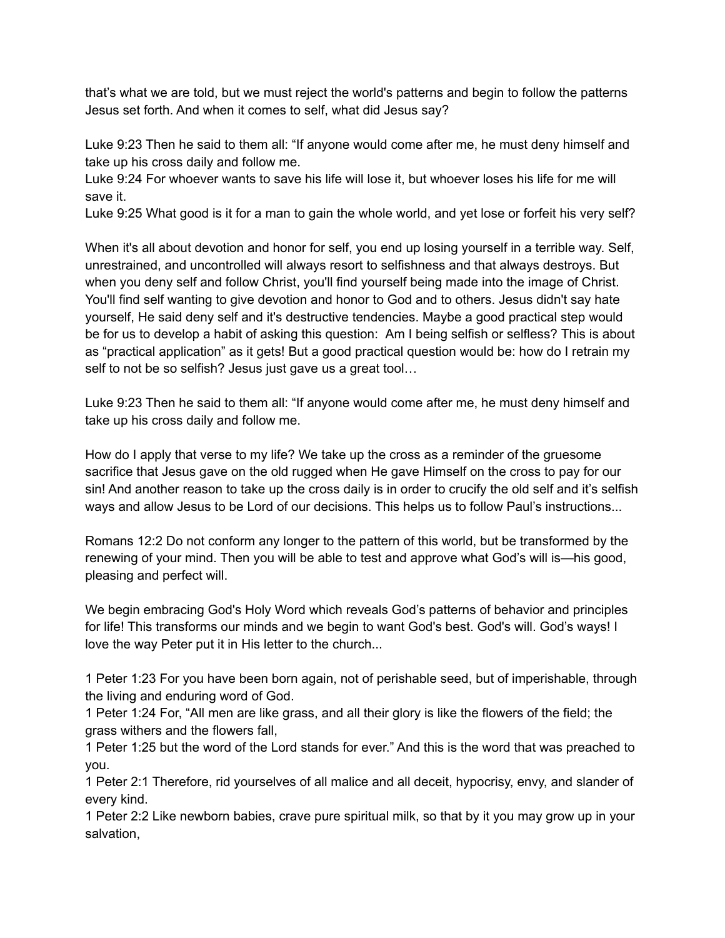that's what we are told, but we must reject the world's patterns and begin to follow the patterns Jesus set forth. And when it comes to self, what did Jesus say?

Luke 9:23 Then he said to them all: "If anyone would come after me, he must deny himself and take up his cross daily and follow me.

Luke 9:24 For whoever wants to save his life will lose it, but whoever loses his life for me will save it.

Luke 9:25 What good is it for a man to gain the whole world, and yet lose or forfeit his very self?

When it's all about devotion and honor for self, you end up losing yourself in a terrible way. Self, unrestrained, and uncontrolled will always resort to selfishness and that always destroys. But when you deny self and follow Christ, you'll find yourself being made into the image of Christ. You'll find self wanting to give devotion and honor to God and to others. Jesus didn't say hate yourself, He said deny self and it's destructive tendencies. Maybe a good practical step would be for us to develop a habit of asking this question: Am I being selfish or selfless? This is about as "practical application" as it gets! But a good practical question would be: how do I retrain my self to not be so selfish? Jesus just gave us a great tool…

Luke 9:23 Then he said to them all: "If anyone would come after me, he must deny himself and take up his cross daily and follow me.

How do I apply that verse to my life? We take up the cross as a reminder of the gruesome sacrifice that Jesus gave on the old rugged when He gave Himself on the cross to pay for our sin! And another reason to take up the cross daily is in order to crucify the old self and it's selfish ways and allow Jesus to be Lord of our decisions. This helps us to follow Paul's instructions...

Romans 12:2 Do not conform any longer to the pattern of this world, but be transformed by the renewing of your mind. Then you will be able to test and approve what God's will is—his good, pleasing and perfect will.

We begin embracing God's Holy Word which reveals God's patterns of behavior and principles for life! This transforms our minds and we begin to want God's best. God's will. God's ways! I love the way Peter put it in His letter to the church...

1 Peter 1:23 For you have been born again, not of perishable seed, but of imperishable, through the living and enduring word of God.

1 Peter 1:24 For, "All men are like grass, and all their glory is like the flowers of the field; the grass withers and the flowers fall,

1 Peter 1:25 but the word of the Lord stands for ever." And this is the word that was preached to you.

1 Peter 2:1 Therefore, rid yourselves of all malice and all deceit, hypocrisy, envy, and slander of every kind.

1 Peter 2:2 Like newborn babies, crave pure spiritual milk, so that by it you may grow up in your salvation,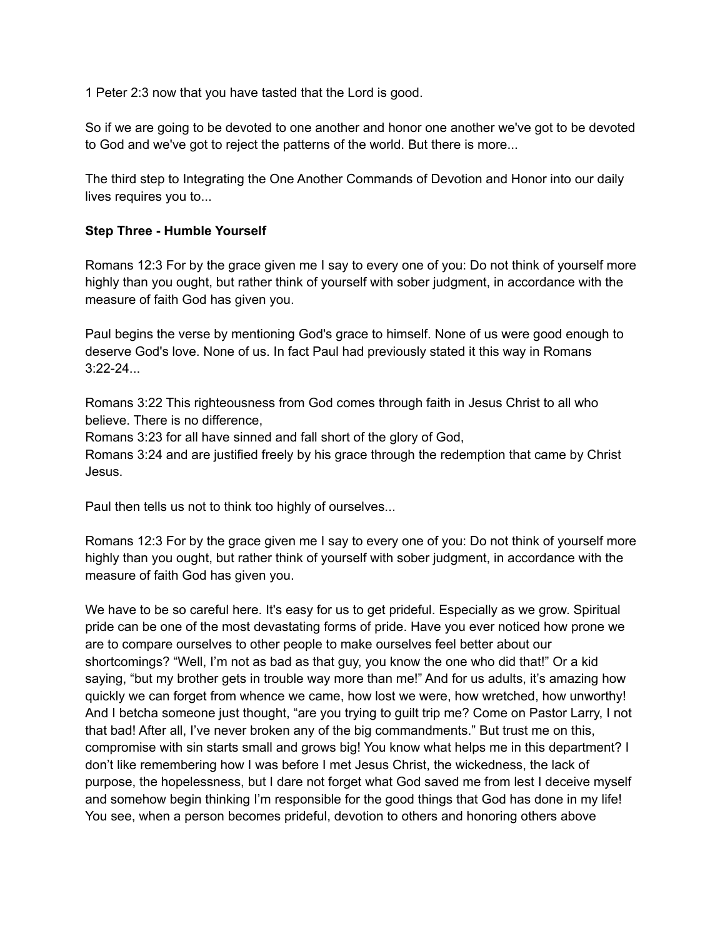1 Peter 2:3 now that you have tasted that the Lord is good.

So if we are going to be devoted to one another and honor one another we've got to be devoted to God and we've got to reject the patterns of the world. But there is more...

The third step to Integrating the One Another Commands of Devotion and Honor into our daily lives requires you to...

#### **Step Three - Humble Yourself**

Romans 12:3 For by the grace given me I say to every one of you: Do not think of yourself more highly than you ought, but rather think of yourself with sober judgment, in accordance with the measure of faith God has given you.

Paul begins the verse by mentioning God's grace to himself. None of us were good enough to deserve God's love. None of us. In fact Paul had previously stated it this way in Romans  $3:22-24...$ 

Romans 3:22 This righteousness from God comes through faith in Jesus Christ to all who believe. There is no difference,

Romans 3:23 for all have sinned and fall short of the glory of God,

Romans 3:24 and are justified freely by his grace through the redemption that came by Christ Jesus.

Paul then tells us not to think too highly of ourselves...

Romans 12:3 For by the grace given me I say to every one of you: Do not think of yourself more highly than you ought, but rather think of yourself with sober judgment, in accordance with the measure of faith God has given you.

We have to be so careful here. It's easy for us to get prideful. Especially as we grow. Spiritual pride can be one of the most devastating forms of pride. Have you ever noticed how prone we are to compare ourselves to other people to make ourselves feel better about our shortcomings? "Well, I'm not as bad as that guy, you know the one who did that!" Or a kid saying, "but my brother gets in trouble way more than me!" And for us adults, it's amazing how quickly we can forget from whence we came, how lost we were, how wretched, how unworthy! And I betcha someone just thought, "are you trying to guilt trip me? Come on Pastor Larry, I not that bad! After all, I've never broken any of the big commandments." But trust me on this, compromise with sin starts small and grows big! You know what helps me in this department? I don't like remembering how I was before I met Jesus Christ, the wickedness, the lack of purpose, the hopelessness, but I dare not forget what God saved me from lest I deceive myself and somehow begin thinking I'm responsible for the good things that God has done in my life! You see, when a person becomes prideful, devotion to others and honoring others above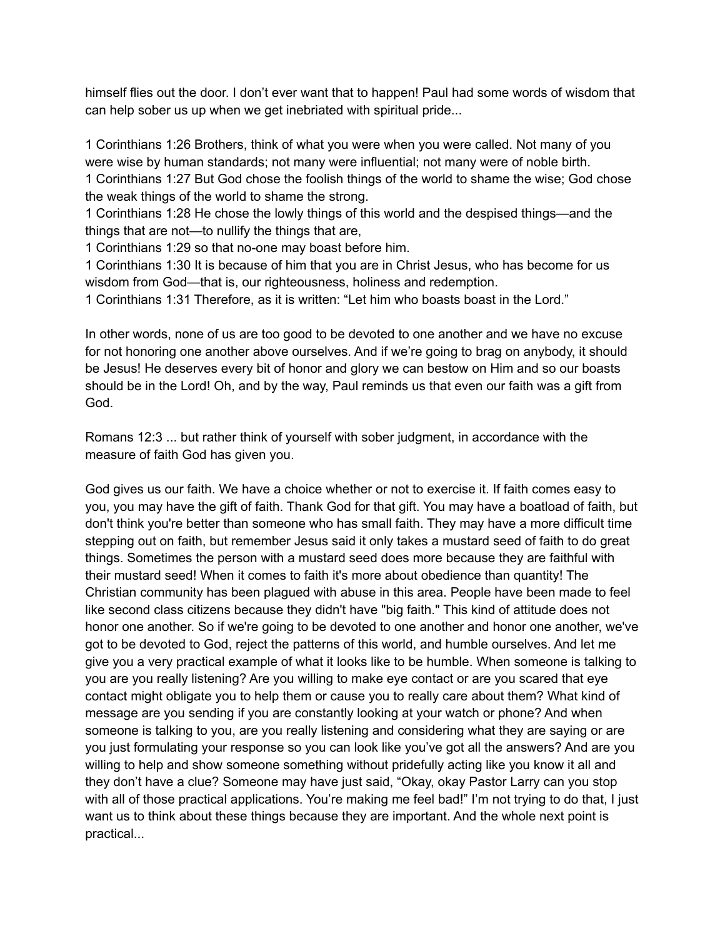himself flies out the door. I don't ever want that to happen! Paul had some words of wisdom that can help sober us up when we get inebriated with spiritual pride...

1 Corinthians 1:26 Brothers, think of what you were when you were called. Not many of you were wise by human standards; not many were influential; not many were of noble birth. 1 Corinthians 1:27 But God chose the foolish things of the world to shame the wise; God chose the weak things of the world to shame the strong.

1 Corinthians 1:28 He chose the lowly things of this world and the despised things—and the things that are not—to nullify the things that are,

1 Corinthians 1:29 so that no-one may boast before him.

1 Corinthians 1:30 It is because of him that you are in Christ Jesus, who has become for us wisdom from God—that is, our righteousness, holiness and redemption.

1 Corinthians 1:31 Therefore, as it is written: "Let him who boasts boast in the Lord."

In other words, none of us are too good to be devoted to one another and we have no excuse for not honoring one another above ourselves. And if we're going to brag on anybody, it should be Jesus! He deserves every bit of honor and glory we can bestow on Him and so our boasts should be in the Lord! Oh, and by the way, Paul reminds us that even our faith was a gift from God.

Romans 12:3 ... but rather think of yourself with sober judgment, in accordance with the measure of faith God has given you.

God gives us our faith. We have a choice whether or not to exercise it. If faith comes easy to you, you may have the gift of faith. Thank God for that gift. You may have a boatload of faith, but don't think you're better than someone who has small faith. They may have a more difficult time stepping out on faith, but remember Jesus said it only takes a mustard seed of faith to do great things. Sometimes the person with a mustard seed does more because they are faithful with their mustard seed! When it comes to faith it's more about obedience than quantity! The Christian community has been plagued with abuse in this area. People have been made to feel like second class citizens because they didn't have "big faith." This kind of attitude does not honor one another. So if we're going to be devoted to one another and honor one another, we've got to be devoted to God, reject the patterns of this world, and humble ourselves. And let me give you a very practical example of what it looks like to be humble. When someone is talking to you are you really listening? Are you willing to make eye contact or are you scared that eye contact might obligate you to help them or cause you to really care about them? What kind of message are you sending if you are constantly looking at your watch or phone? And when someone is talking to you, are you really listening and considering what they are saying or are you just formulating your response so you can look like you've got all the answers? And are you willing to help and show someone something without pridefully acting like you know it all and they don't have a clue? Someone may have just said, "Okay, okay Pastor Larry can you stop with all of those practical applications. You're making me feel bad!" I'm not trying to do that, I just want us to think about these things because they are important. And the whole next point is practical...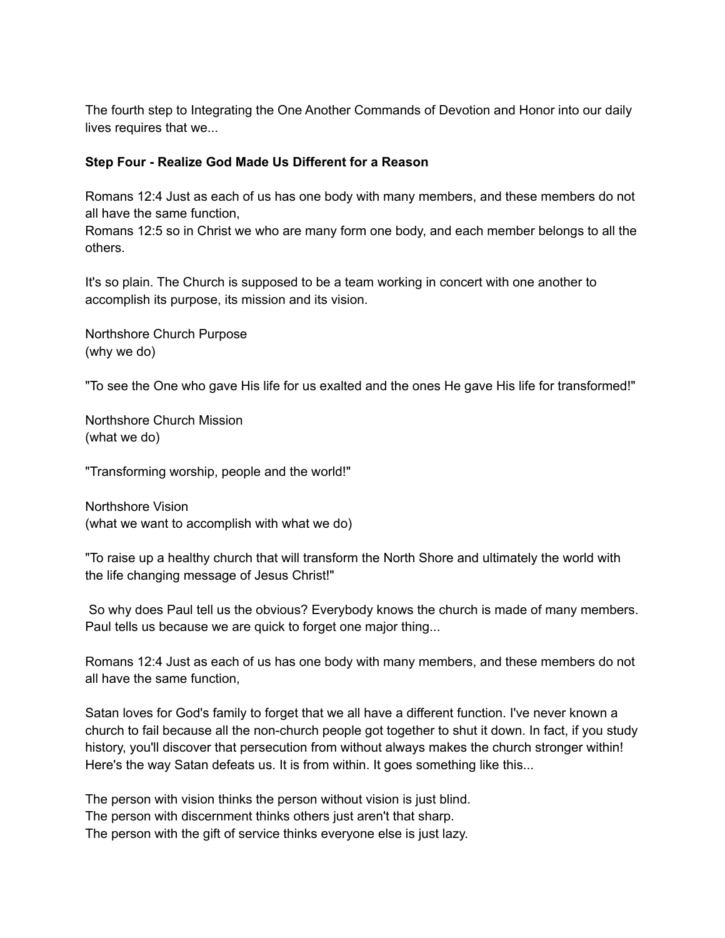The fourth step to Integrating the One Another Commands of Devotion and Honor into our daily lives requires that we...

### **Step Four - Realize God Made Us Different for a Reason**

Romans 12:4 Just as each of us has one body with many members, and these members do not all have the same function,

Romans 12:5 so in Christ we who are many form one body, and each member belongs to all the others.

It's so plain. The Church is supposed to be a team working in concert with one another to accomplish its purpose, its mission and its vision.

Northshore Church Purpose (why we do)

"To see the One who gave His life for us exalted and the ones He gave His life for transformed!"

Northshore Church Mission (what we do)

"Transforming worship, people and the world!"

Northshore Vision (what we want to accomplish with what we do)

"To raise up a healthy church that will transform the North Shore and ultimately the world with the life changing message of Jesus Christ!"

So why does Paul tell us the obvious? Everybody knows the church is made of many members. Paul tells us because we are quick to forget one major thing...

Romans 12:4 Just as each of us has one body with many members, and these members do not all have the same function,

Satan loves for God's family to forget that we all have a different function. I've never known a church to fail because all the non-church people got together to shut it down. In fact, if you study history, you'll discover that persecution from without always makes the church stronger within! Here's the way Satan defeats us. It is from within. It goes something like this...

The person with vision thinks the person without vision is just blind. The person with discernment thinks others just aren't that sharp. The person with the gift of service thinks everyone else is just lazy.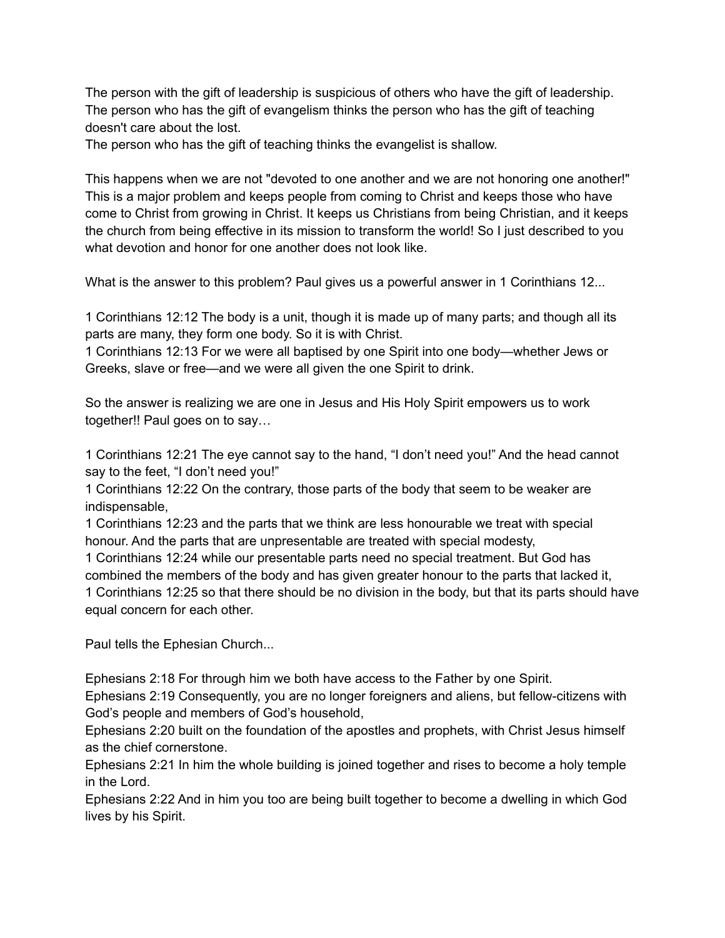The person with the gift of leadership is suspicious of others who have the gift of leadership. The person who has the gift of evangelism thinks the person who has the gift of teaching doesn't care about the lost.

The person who has the gift of teaching thinks the evangelist is shallow.

This happens when we are not "devoted to one another and we are not honoring one another!" This is a major problem and keeps people from coming to Christ and keeps those who have come to Christ from growing in Christ. It keeps us Christians from being Christian, and it keeps the church from being effective in its mission to transform the world! So I just described to you what devotion and honor for one another does not look like.

What is the answer to this problem? Paul gives us a powerful answer in 1 Corinthians 12...

1 Corinthians 12:12 The body is a unit, though it is made up of many parts; and though all its parts are many, they form one body. So it is with Christ.

1 Corinthians 12:13 For we were all baptised by one Spirit into one body—whether Jews or Greeks, slave or free—and we were all given the one Spirit to drink.

So the answer is realizing we are one in Jesus and His Holy Spirit empowers us to work together!! Paul goes on to say…

1 Corinthians 12:21 The eye cannot say to the hand, "I don't need you!" And the head cannot say to the feet, "I don't need you!"

1 Corinthians 12:22 On the contrary, those parts of the body that seem to be weaker are indispensable,

1 Corinthians 12:23 and the parts that we think are less honourable we treat with special honour. And the parts that are unpresentable are treated with special modesty,

1 Corinthians 12:24 while our presentable parts need no special treatment. But God has combined the members of the body and has given greater honour to the parts that lacked it, 1 Corinthians 12:25 so that there should be no division in the body, but that its parts should have equal concern for each other.

Paul tells the Ephesian Church...

Ephesians 2:18 For through him we both have access to the Father by one Spirit.

Ephesians 2:19 Consequently, you are no longer foreigners and aliens, but fellow-citizens with God's people and members of God's household,

Ephesians 2:20 built on the foundation of the apostles and prophets, with Christ Jesus himself as the chief cornerstone.

Ephesians 2:21 In him the whole building is joined together and rises to become a holy temple in the Lord.

Ephesians 2:22 And in him you too are being built together to become a dwelling in which God lives by his Spirit.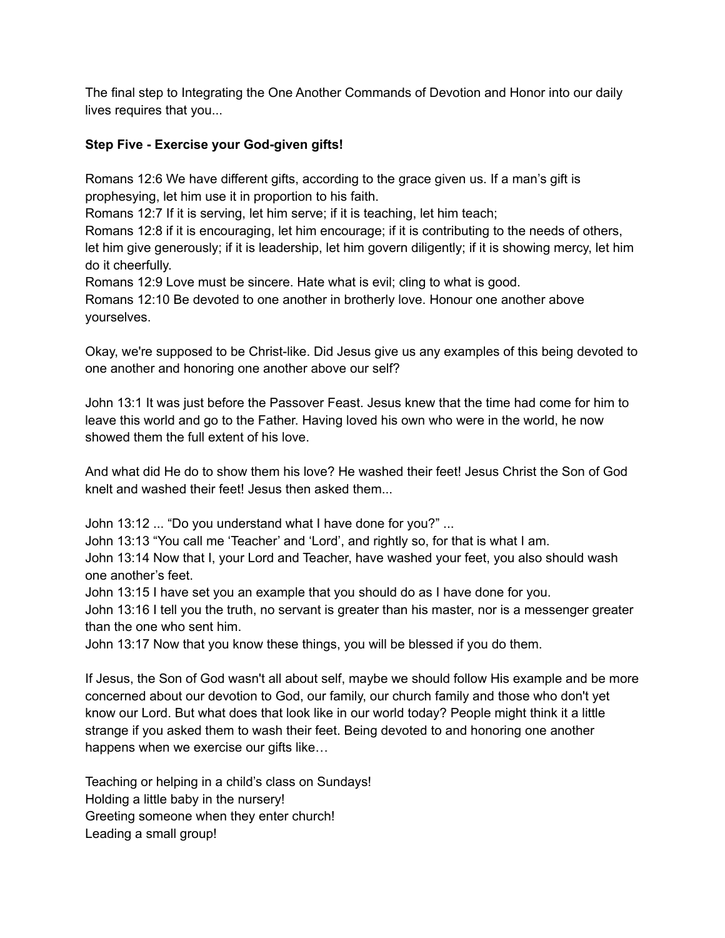The final step to Integrating the One Another Commands of Devotion and Honor into our daily lives requires that you...

# **Step Five - Exercise your God-given gifts!**

Romans 12:6 We have different gifts, according to the grace given us. If a man's gift is prophesying, let him use it in proportion to his faith.

Romans 12:7 If it is serving, let him serve; if it is teaching, let him teach;

Romans 12:8 if it is encouraging, let him encourage; if it is contributing to the needs of others, let him give generously; if it is leadership, let him govern diligently; if it is showing mercy, let him do it cheerfully.

Romans 12:9 Love must be sincere. Hate what is evil; cling to what is good.

Romans 12:10 Be devoted to one another in brotherly love. Honour one another above yourselves.

Okay, we're supposed to be Christ-like. Did Jesus give us any examples of this being devoted to one another and honoring one another above our self?

John 13:1 It was just before the Passover Feast. Jesus knew that the time had come for him to leave this world and go to the Father. Having loved his own who were in the world, he now showed them the full extent of his love.

And what did He do to show them his love? He washed their feet! Jesus Christ the Son of God knelt and washed their feet! Jesus then asked them...

John 13:12 ... "Do you understand what I have done for you?" ...

John 13:13 "You call me 'Teacher' and 'Lord', and rightly so, for that is what I am.

John 13:14 Now that I, your Lord and Teacher, have washed your feet, you also should wash one another's feet.

John 13:15 I have set you an example that you should do as I have done for you.

John 13:16 I tell you the truth, no servant is greater than his master, nor is a messenger greater than the one who sent him.

John 13:17 Now that you know these things, you will be blessed if you do them.

If Jesus, the Son of God wasn't all about self, maybe we should follow His example and be more concerned about our devotion to God, our family, our church family and those who don't yet know our Lord. But what does that look like in our world today? People might think it a little strange if you asked them to wash their feet. Being devoted to and honoring one another happens when we exercise our gifts like…

Teaching or helping in a child's class on Sundays! Holding a little baby in the nursery! Greeting someone when they enter church! Leading a small group!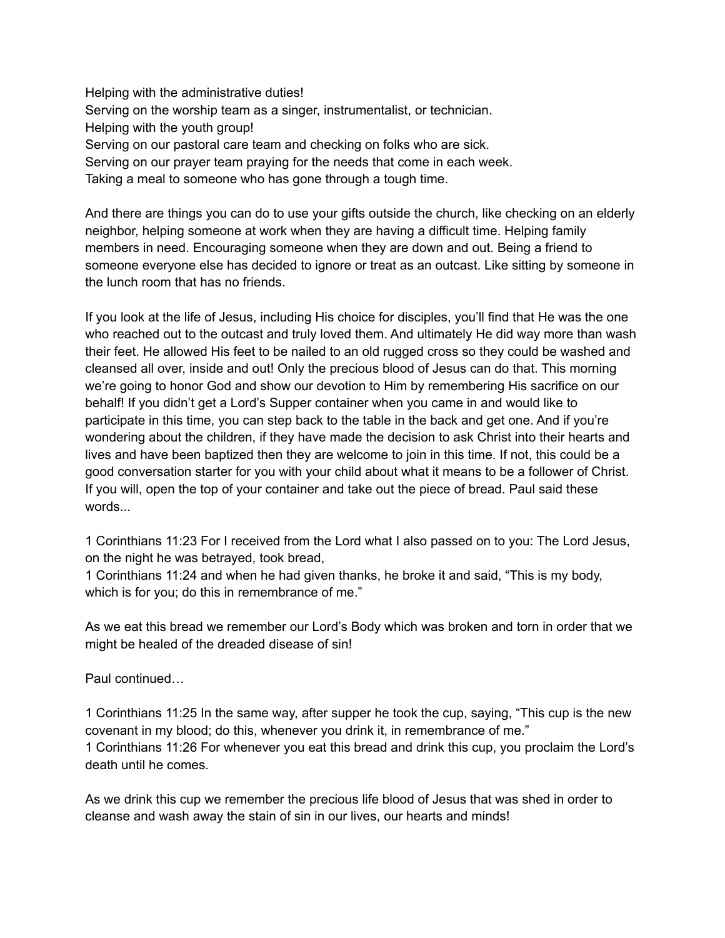Helping with the administrative duties! Serving on the worship team as a singer, instrumentalist, or technician. Helping with the youth group! Serving on our pastoral care team and checking on folks who are sick. Serving on our prayer team praying for the needs that come in each week. Taking a meal to someone who has gone through a tough time.

And there are things you can do to use your gifts outside the church, like checking on an elderly neighbor, helping someone at work when they are having a difficult time. Helping family members in need. Encouraging someone when they are down and out. Being a friend to someone everyone else has decided to ignore or treat as an outcast. Like sitting by someone in the lunch room that has no friends.

If you look at the life of Jesus, including His choice for disciples, you'll find that He was the one who reached out to the outcast and truly loved them. And ultimately He did way more than wash their feet. He allowed His feet to be nailed to an old rugged cross so they could be washed and cleansed all over, inside and out! Only the precious blood of Jesus can do that. This morning we're going to honor God and show our devotion to Him by remembering His sacrifice on our behalf! If you didn't get a Lord's Supper container when you came in and would like to participate in this time, you can step back to the table in the back and get one. And if you're wondering about the children, if they have made the decision to ask Christ into their hearts and lives and have been baptized then they are welcome to join in this time. If not, this could be a good conversation starter for you with your child about what it means to be a follower of Christ. If you will, open the top of your container and take out the piece of bread. Paul said these words...

1 Corinthians 11:23 For I received from the Lord what I also passed on to you: The Lord Jesus, on the night he was betrayed, took bread,

1 Corinthians 11:24 and when he had given thanks, he broke it and said, "This is my body, which is for you; do this in remembrance of me."

As we eat this bread we remember our Lord's Body which was broken and torn in order that we might be healed of the dreaded disease of sin!

Paul continued…

1 Corinthians 11:25 In the same way, after supper he took the cup, saying, "This cup is the new covenant in my blood; do this, whenever you drink it, in remembrance of me." 1 Corinthians 11:26 For whenever you eat this bread and drink this cup, you proclaim the Lord's death until he comes.

As we drink this cup we remember the precious life blood of Jesus that was shed in order to cleanse and wash away the stain of sin in our lives, our hearts and minds!